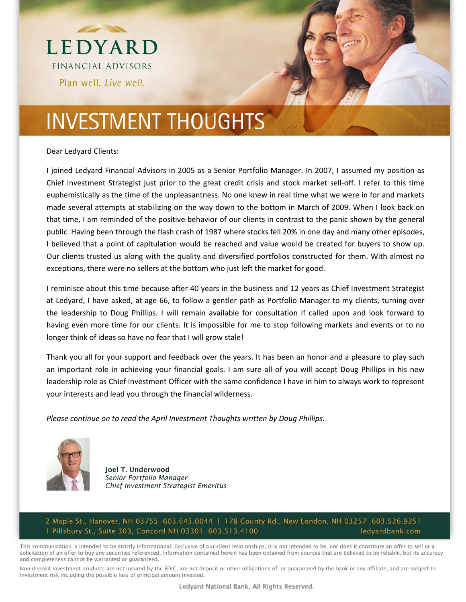

Dear Ledyard Clients:

I joined Ledyard Financial Advisors in 2005 as a Senior Portfolio Manager. In 2007, I assumed my position as Chief Investment Strategist just prior to the great credit crisis and stock market sell‐off. I refer to this time euphemistically as the time of the unpleasantness. No one knew in real time what we were in for and markets made several attempts at stabilizing on the way down to the bottom in March of 2009. When I look back on that time, I am reminded of the positive behavior of our clients in contrast to the panic shown by the general public. Having been through the flash crash of 1987 where stocks fell 20% in one day and many other episodes, I believed that a point of capitulation would be reached and value would be created for buyers to show up. Our clients trusted us along with the quality and diversified portfolios constructed for them. With almost no exceptions, there were no sellers at the bottom who just left the market for good.

I reminisce about this time because after 40 years in the business and 12 years as Chief Investment Strategist at Ledyard, I have asked, at age 66, to follow a gentler path as Portfolio Manager to my clients, turning over the leadership to Doug Phillips. I will remain available for consultation if called upon and look forward to having even more time for our clients. It is impossible for me to stop following markets and events or to no longer think of ideas so have no fear that I will grow stale!

Thank you all for your support and feedback over the years. It has been an honor and a pleasure to play such an important role in achieving your financial goals. I am sure all of you will accept Doug Phillips in his new leadership role as Chief Investment Officer with the same confidence I have in him to always work to represent your interests and lead you through the financial wilderness.

*Please continue on to read the April Investment Thoughts written by Doug Phillips.*



Joel T. Underwood *Senior Portfolio Manager Chief Investment Strategist Emeritus* 

2 Maple St., Hanover, NH 03755 603.643.0044 | 178 County Rd., New London, NH 03257 603.526.9251 1 Pillsbury St., Suite 303, Concord NH 03301 603.513.4100 ledyardbank.com

This communication is intended to be strictly informational. Exclusive of our client relationships, it is not intended to be, nor does it constitute an offer to sell or a solicitation of an offer to buy any securities referenced. Information contained herein has been obtained from sources that are believed to be reliable, but its accuracy and completeness cannot be warranted or guaranteed.

Non-deposit investment products are not insured by the FDIC, are not deposit or other obligations of, or guaranteed by the bank or any affiliate, and are subject to investment risk including the possible loss of principal amount invested.

Ledyard National Bank, All Rights Reserved.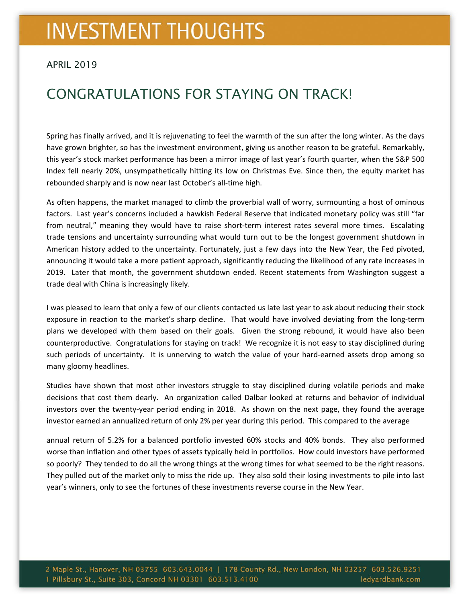#### APRIL 2019

### CONGRATULATIONS FOR STAYING ON TRACK!

Spring has finally arrived, and it is rejuvenating to feel the warmth of the sun after the long winter. As the days have grown brighter, so has the investment environment, giving us another reason to be grateful. Remarkably, this year's stock market performance has been a mirror image of last year's fourth quarter, when the S&P 500 Index fell nearly 20%, unsympathetically hitting its low on Christmas Eve. Since then, the equity market has rebounded sharply and is now near last October's all-time high.

As often happens, the market managed to climb the proverbial wall of worry, surmounting a host of ominous factors. Last year's concerns included a hawkish Federal Reserve that indicated monetary policy was still "far from neutral," meaning they would have to raise short-term interest rates several more times. Escalating trade tensions and uncertainty surrounding what would turn out to be the longest government shutdown in American history added to the uncertainty. Fortunately, just a few days into the New Year, the Fed pivoted, announcing it would take a more patient approach, significantly reducing the likelihood of any rate increases in 2019. Later that month, the government shutdown ended. Recent statements from Washington suggest a trade deal with China is increasingly likely.

I was pleased to learn that only a few of our clients contacted us late last year to ask about reducing their stock exposure in reaction to the market's sharp decline. That would have involved deviating from the long-term plans we developed with them based on their goals. Given the strong rebound, it would have also been counterproductive. Congratulations for staying on track! We recognize it is not easy to stay disciplined during such periods of uncertainty. It is unnerving to watch the value of your hard-earned assets drop among so many gloomy headlines.

Studies have shown that most other investors struggle to stay disciplined during volatile periods and make decisions that cost them dearly. An organization called Dalbar looked at returns and behavior of individual investors over the twenty‐year period ending in 2018. As shown on the next page, they found the average investor earned an annualized return of only 2% per year during this period. This compared to the average

annual return of 5.2% for a balanced portfolio invested 60% stocks and 40% bonds. They also performed worse than inflation and other types of assets typically held in portfolios. How could investors have performed so poorly? They tended to do all the wrong things at the wrong times for what seemed to be the right reasons. They pulled out of the market only to miss the ride up. They also sold their losing investments to pile into last year's winners, only to see the fortunes of these investments reverse course in the New Year.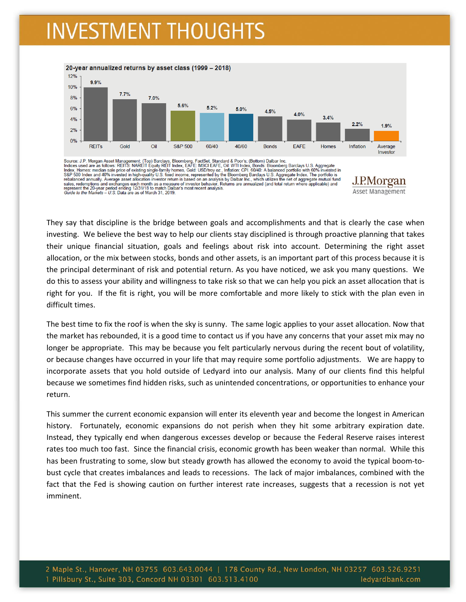

Source: J.P. Morgan Asset Management; (Top) Barclays, Bloomberg, FactSet, Standard & Poor's; (Bottom) Dalbar Inc.<br>Indices used are as follows: REITS: NAREIT Equity REIT Index, EAFE: MSCI EAFE, Oil: WTI Index, Bonds: Bloomb

They say that discipline is the bridge between goals and accomplishments and that is clearly the case when investing. We believe the best way to help our clients stay disciplined is through proactive planning that takes their unique financial situation, goals and feelings about risk into account. Determining the right asset allocation, or the mix between stocks, bonds and other assets, is an important part of this process because it is the principal determinant of risk and potential return. As you have noticed, we ask you many questions. We do this to assess your ability and willingness to take risk so that we can help you pick an asset allocation that is right for you. If the fit is right, you will be more comfortable and more likely to stick with the plan even in difficult times.

<u>J.P.Morgan</u> Asset Management

The best time to fix the roof is when the sky is sunny. The same logic applies to your asset allocation. Now that the market has rebounded, it is a good time to contact us if you have any concerns that your asset mix may no longer be appropriate. This may be because you felt particularly nervous during the recent bout of volatility, or because changes have occurred in your life that may require some portfolio adjustments. We are happy to incorporate assets that you hold outside of Ledyard into our analysis. Many of our clients find this helpful because we sometimes find hidden risks, such as unintended concentrations, or opportunities to enhance your return.

This summer the current economic expansion will enter its eleventh year and become the longest in American history. Fortunately, economic expansions do not perish when they hit some arbitrary expiration date. Instead, they typically end when dangerous excesses develop or because the Federal Reserve raises interest rates too much too fast. Since the financial crisis, economic growth has been weaker than normal. While this has been frustrating to some, slow but steady growth has allowed the economy to avoid the typical boom-tobust cycle that creates imbalances and leads to recessions. The lack of major imbalances, combined with the fact that the Fed is showing caution on further interest rate increases, suggests that a recession is not yet imminent.